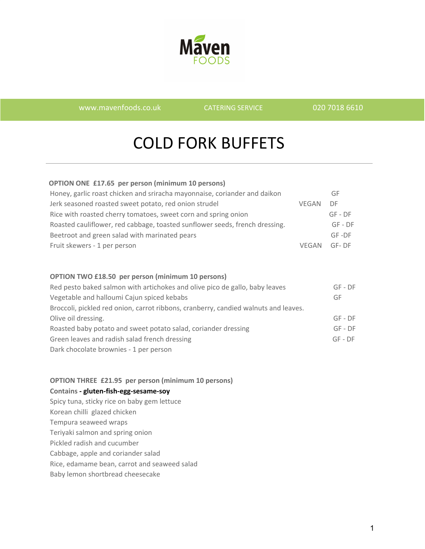

[www.mavenfoods.co.uk](http://www.mavenfoods.co.uk/) CATERING SERVICE 020 7018 6610

# COLD FORK BUFFETS

| <b>OPTION ONE £17.65 per person (minimum 10 persons)</b> |  |  |  |
|----------------------------------------------------------|--|--|--|
|                                                          |  |  |  |

| Honey, garlic roast chicken and sriracha mayonnaise, coriander and daikon   |              | GF        |
|-----------------------------------------------------------------------------|--------------|-----------|
| Jerk seasoned roasted sweet potato, red onion strudel                       | <b>VFGAN</b> | DF.       |
| Rice with roasted cherry tomatoes, sweet corn and spring onion              |              | $GF - DF$ |
| Roasted cauliflower, red cabbage, toasted sunflower seeds, french dressing. |              | $GF - DF$ |
| Beetroot and green salad with marinated pears                               |              | $GF -DF$  |
| Fruit skewers - 1 per person                                                | <b>VFGAN</b> | GF-DF     |

#### **OPTION TWO £18.50 per person (minimum 10 persons)**

| Red pesto baked salmon with artichokes and olive pico de gallo, baby leaves         | $GF - DF$ |
|-------------------------------------------------------------------------------------|-----------|
| Vegetable and halloumi Cajun spiced kebabs                                          | GF        |
| Broccoli, pickled red onion, carrot ribbons, cranberry, candied walnuts and leaves. |           |
| Olive oil dressing.                                                                 | $GF - DF$ |
| Roasted baby potato and sweet potato salad, coriander dressing                      | $GF - DF$ |
| Green leaves and radish salad french dressing                                       | $GF - DF$ |
| Dark chocolate brownies - 1 per person                                              |           |

#### **OPTION THREE £21.95 per person (minimum 10 persons)**

#### **Contains - gluten-fish-egg-sesame-soy**

Spicy tuna, sticky rice on baby gem lettuce Korean chilli glazed chicken Tempura seaweed wraps Teriyaki salmon and spring onion Pickled radish and cucumber Cabbage, apple and coriander salad Rice, edamame bean, carrot and seaweed salad Baby lemon shortbread cheesecake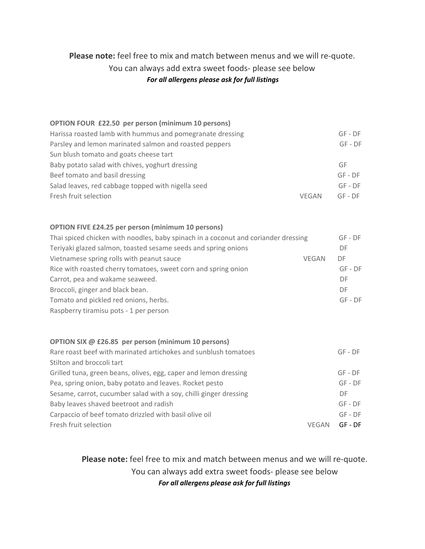# **Please note:** feel free to mix and match between menus and we will re-quote. You can always add extra sweet foods- please see below *For all allergens please ask for full listings*

#### **OPTION FOUR £22.50 per person (minimum 10 persons)** Harissa roasted lamb with hummus and pomegranate dressing GF - DF GF - DF Parsley and lemon marinated salmon and roasted peppers GF - DF Sun bluch tomato and goats chees

| Sun blush tomato and goats cheese tart             |              |           |
|----------------------------------------------------|--------------|-----------|
| Baby potato salad with chives, yoghurt dressing    |              | GF        |
| Beef tomato and basil dressing                     |              | $GF - DF$ |
| Salad leaves, red cabbage topped with nigella seed |              | $GF - DF$ |
| Fresh fruit selection                              | <b>VFGAN</b> | $GF - DF$ |

#### **OPTION FIVE £24.25 per person (minimum 10 persons)**

| Thai spiced chicken with noodles, baby spinach in a coconut and coriander dressing |              | $GF - DF$ |
|------------------------------------------------------------------------------------|--------------|-----------|
| Teriyaki glazed salmon, toasted sesame seeds and spring onions                     |              | DF        |
| Vietnamese spring rolls with peanut sauce                                          | <b>VEGAN</b> | DF        |
| Rice with roasted cherry tomatoes, sweet corn and spring onion                     |              | $GF - DF$ |
| Carrot, pea and wakame seaweed.                                                    |              | DF        |
| Broccoli, ginger and black bean.                                                   |              | DF        |
| Tomato and pickled red onions, herbs.                                              |              | $GF - DF$ |
| Raspberry tiramisu pots - 1 per person                                             |              |           |

#### **OPTION SIX @ £26.85 per person (minimum 10 persons)**

| Rare roast beef with marinated artichokes and sunblush tomatoes   |       | $GF - DF$ |
|-------------------------------------------------------------------|-------|-----------|
| Stilton and broccoli tart                                         |       |           |
| Grilled tuna, green beans, olives, egg, caper and lemon dressing  |       | $GF - DF$ |
| Pea, spring onion, baby potato and leaves. Rocket pesto           |       | $GF - DF$ |
| Sesame, carrot, cucumber salad with a soy, chilli ginger dressing |       | DF.       |
| Baby leaves shaved beetroot and radish                            |       | $GF - DF$ |
| Carpaccio of beef tomato drizzled with basil olive oil            |       | $GF - DF$ |
| Fresh fruit selection                                             | VFGAN | $GF - DF$ |

**Please note:** feel free to mix and match between menus and we will re-quote. You can always add extra sweet foods- please see below *For all allergens please ask for full listings*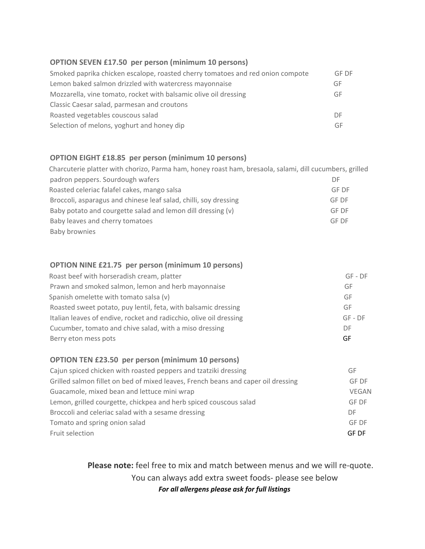#### **OPTION SEVEN £17.50 per person (minimum 10 persons)**

| Smoked paprika chicken escalope, roasted cherry tomatoes and red onion compote | GF DF |
|--------------------------------------------------------------------------------|-------|
| Lemon baked salmon drizzled with watercress mayonnaise                         | GF    |
| Mozzarella, vine tomato, rocket with balsamic olive oil dressing               | GF    |
| Classic Caesar salad, parmesan and croutons                                    |       |
| Roasted vegetables couscous salad                                              | DE    |
| Selection of melons, yoghurt and honey dip                                     | GF    |

## **OPTION EIGHT £18.85 per person (minimum 10 persons)**

| Charcuterie platter with chorizo, Parma ham, honey roast ham, bresaola, salami, dill cucumbers, grilled |       |
|---------------------------------------------------------------------------------------------------------|-------|
| padron peppers. Sourdough wafers                                                                        | DF    |
| Roasted celeriac falafel cakes, mango salsa                                                             | GF DF |
| Broccoli, asparagus and chinese leaf salad, chilli, soy dressing                                        | GF DF |
| Baby potato and courgette salad and lemon dill dressing (v)                                             | GF DF |
| Baby leaves and cherry tomatoes                                                                         | GF DF |
| Baby brownies                                                                                           |       |

#### **OPTION NINE £21.75 per person (minimum 10 persons)**

| Roast beef with horseradish cream, platter                         | $GF - DF$ |
|--------------------------------------------------------------------|-----------|
| Prawn and smoked salmon, lemon and herb mayonnaise                 | GF        |
| Spanish omelette with tomato salsa (v)                             | GF        |
| Roasted sweet potato, puy lentil, feta, with balsamic dressing     | GF        |
| Italian leaves of endive, rocket and radicchio, olive oil dressing | $GF - DF$ |
| Cucumber, tomato and chive salad, with a miso dressing             | DF        |
| Berry eton mess pots                                               | GF        |

#### **OPTION TEN £23.50 per person (minimum 10 persons)**

| Cajun spiced chicken with roasted peppers and tzatziki dressing                   | GF           |
|-----------------------------------------------------------------------------------|--------------|
| Grilled salmon fillet on bed of mixed leaves, French beans and caper oil dressing | GF DF        |
| Guacamole, mixed bean and lettuce mini wrap                                       | <b>VEGAN</b> |
| Lemon, grilled courgette, chickpea and herb spiced couscous salad                 | <b>GF DF</b> |
| Broccoli and celeriac salad with a sesame dressing                                | DF           |
| Tomato and spring onion salad                                                     | <b>GF DF</b> |
| Fruit selection                                                                   | <b>GF DF</b> |

 **Please note:** feel free to mix and match between menus and we will re-quote. You can always add extra sweet foods- please see below *For all allergens please ask for full listings*